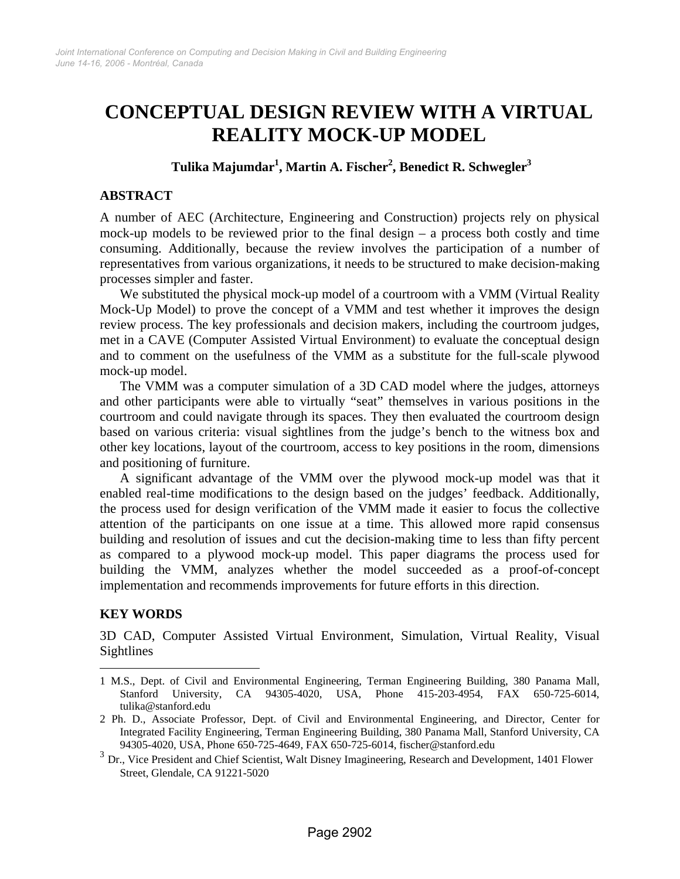# **CONCEPTUAL DESIGN REVIEW WITH A VIRTUAL REALITY MOCK-UP MODEL**

# **Tulika Majumdar<sup>1</sup> , Martin A. Fischer<sup>2</sup> , Benedict R. Schwegler3**

#### **ABSTRACT**

A number of AEC (Architecture, Engineering and Construction) projects rely on physical mock-up models to be reviewed prior to the final design – a process both costly and time consuming. Additionally, because the review involves the participation of a number of representatives from various organizations, it needs to be structured to make decision-making processes simpler and faster.

We substituted the physical mock-up model of a courtroom with a VMM (Virtual Reality Mock-Up Model) to prove the concept of a VMM and test whether it improves the design review process. The key professionals and decision makers, including the courtroom judges, met in a CAVE (Computer Assisted Virtual Environment) to evaluate the conceptual design and to comment on the usefulness of the VMM as a substitute for the full-scale plywood mock-up model.

The VMM was a computer simulation of a 3D CAD model where the judges, attorneys and other participants were able to virtually "seat" themselves in various positions in the courtroom and could navigate through its spaces. They then evaluated the courtroom design based on various criteria: visual sightlines from the judge's bench to the witness box and other key locations, layout of the courtroom, access to key positions in the room, dimensions and positioning of furniture.

A significant advantage of the VMM over the plywood mock-up model was that it enabled real-time modifications to the design based on the judges' feedback. Additionally, the process used for design verification of the VMM made it easier to focus the collective attention of the participants on one issue at a time. This allowed more rapid consensus building and resolution of issues and cut the decision-making time to less than fifty percent as compared to a plywood mock-up model. This paper diagrams the process used for building the VMM, analyzes whether the model succeeded as a proof-of-concept implementation and recommends improvements for future efforts in this direction.

#### **KEY WORDS**

 $\overline{a}$ 

3D CAD, Computer Assisted Virtual Environment, Simulation, Virtual Reality, Visual Sightlines

<sup>1</sup> M.S., Dept. of Civil and Environmental Engineering, Terman Engineering Building, 380 Panama Mall, Stanford University, CA 94305-4020, USA, Phone 415-203-4954, FAX 650-725-6014, tulika@stanford.edu

<sup>2</sup> Ph. D., Associate Professor, Dept. of Civil and Environmental Engineering, and Director, Center for Integrated Facility Engineering, Terman Engineering Building, 380 Panama Mall, Stanford University, CA 94305-4020, USA, Phone 650-725-4649, FAX 650-725-6014, fischer@stanford.edu

 $3$  Dr., Vice President and Chief Scientist, Walt Disney Imagineering, Research and Development, 1401 Flower Street, Glendale, CA 91221-5020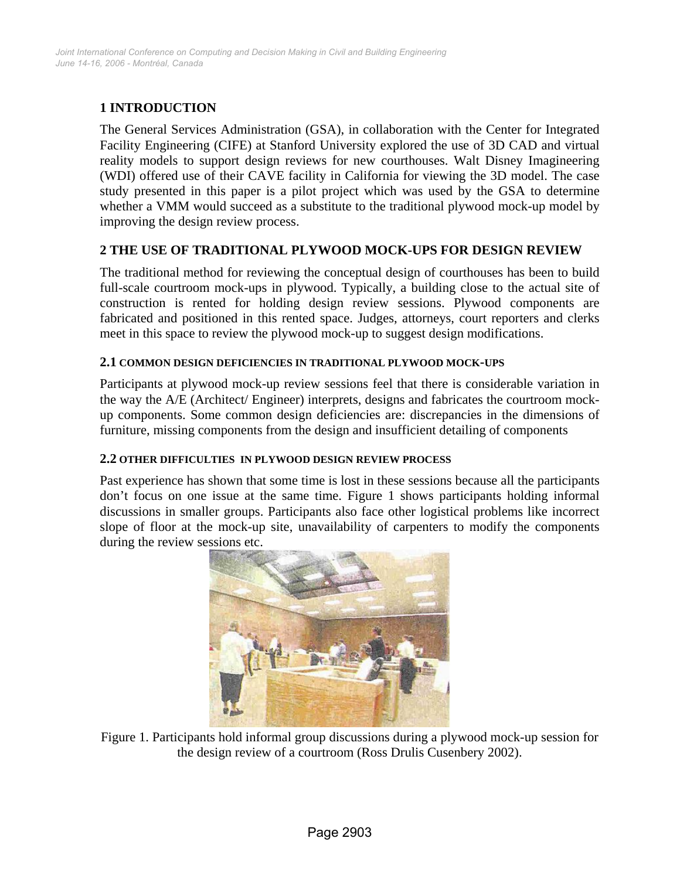# **1 INTRODUCTION**

The General Services Administration (GSA), in collaboration with the Center for Integrated Facility Engineering (CIFE) at Stanford University explored the use of 3D CAD and virtual reality models to support design reviews for new courthouses. Walt Disney Imagineering (WDI) offered use of their CAVE facility in California for viewing the 3D model. The case study presented in this paper is a pilot project which was used by the GSA to determine whether a VMM would succeed as a substitute to the traditional plywood mock-up model by improving the design review process.

## **2 THE USE OF TRADITIONAL PLYWOOD MOCK-UPS FOR DESIGN REVIEW**

The traditional method for reviewing the conceptual design of courthouses has been to build full-scale courtroom mock-ups in plywood. Typically, a building close to the actual site of construction is rented for holding design review sessions. Plywood components are fabricated and positioned in this rented space. Judges, attorneys, court reporters and clerks meet in this space to review the plywood mock-up to suggest design modifications.

#### **2.1 COMMON DESIGN DEFICIENCIES IN TRADITIONAL PLYWOOD MOCK-UPS**

Participants at plywood mock-up review sessions feel that there is considerable variation in the way the A/E (Architect/ Engineer) interprets, designs and fabricates the courtroom mockup components. Some common design deficiencies are: discrepancies in the dimensions of furniture, missing components from the design and insufficient detailing of components

#### **2.2 OTHER DIFFICULTIES IN PLYWOOD DESIGN REVIEW PROCESS**

Past experience has shown that some time is lost in these sessions because all the participants don't focus on one issue at the same time. Figure 1 shows participants holding informal discussions in smaller groups. Participants also face other logistical problems like incorrect slope of floor at the mock-up site, unavailability of carpenters to modify the components during the review sessions etc.



Figure 1. Participants hold informal group discussions during a plywood mock-up session for the design review of a courtroom (Ross Drulis Cusenbery 2002).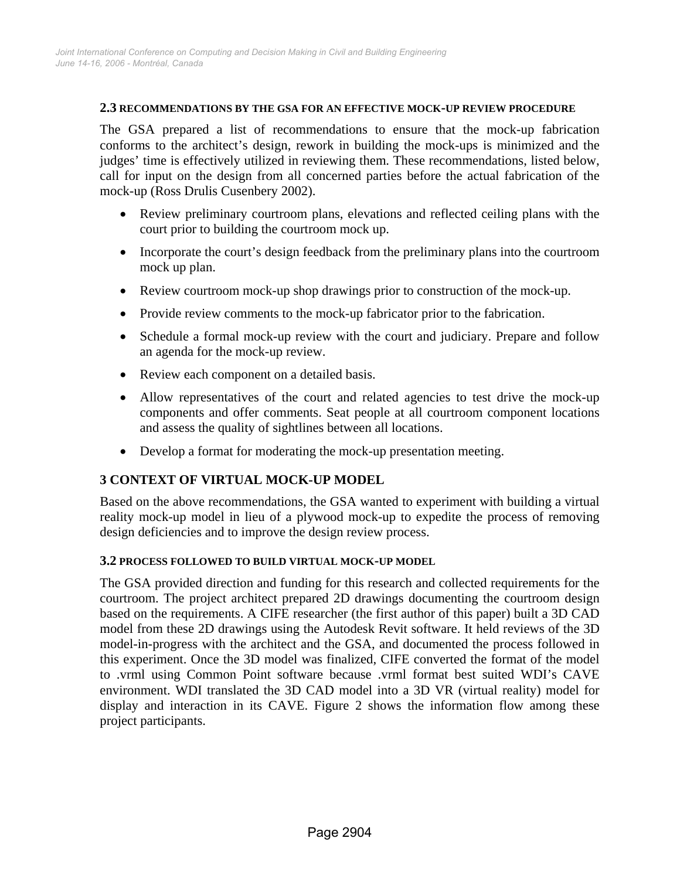#### **2.3 RECOMMENDATIONS BY THE GSA FOR AN EFFECTIVE MOCK-UP REVIEW PROCEDURE**

The GSA prepared a list of recommendations to ensure that the mock-up fabrication conforms to the architect's design, rework in building the mock-ups is minimized and the judges' time is effectively utilized in reviewing them. These recommendations, listed below, call for input on the design from all concerned parties before the actual fabrication of the mock-up (Ross Drulis Cusenbery 2002).

- Review preliminary courtroom plans, elevations and reflected ceiling plans with the court prior to building the courtroom mock up.
- Incorporate the court's design feedback from the preliminary plans into the courtroom mock up plan.
- Review courtroom mock-up shop drawings prior to construction of the mock-up.
- Provide review comments to the mock-up fabricator prior to the fabrication.
- Schedule a formal mock-up review with the court and judiciary. Prepare and follow an agenda for the mock-up review.
- Review each component on a detailed basis.
- Allow representatives of the court and related agencies to test drive the mock-up components and offer comments. Seat people at all courtroom component locations and assess the quality of sightlines between all locations.
- Develop a format for moderating the mock-up presentation meeting.

# **3 CONTEXT OF VIRTUAL MOCK-UP MODEL**

Based on the above recommendations, the GSA wanted to experiment with building a virtual reality mock-up model in lieu of a plywood mock-up to expedite the process of removing design deficiencies and to improve the design review process.

#### **3.2 PROCESS FOLLOWED TO BUILD VIRTUAL MOCK-UP MODEL**

The GSA provided direction and funding for this research and collected requirements for the courtroom. The project architect prepared 2D drawings documenting the courtroom design based on the requirements. A CIFE researcher (the first author of this paper) built a 3D CAD model from these 2D drawings using the Autodesk Revit software. It held reviews of the 3D model-in-progress with the architect and the GSA, and documented the process followed in this experiment. Once the 3D model was finalized, CIFE converted the format of the model to .vrml using Common Point software because .vrml format best suited WDI's CAVE environment. WDI translated the 3D CAD model into a 3D VR (virtual reality) model for display and interaction in its CAVE. Figure 2 shows the information flow among these project participants.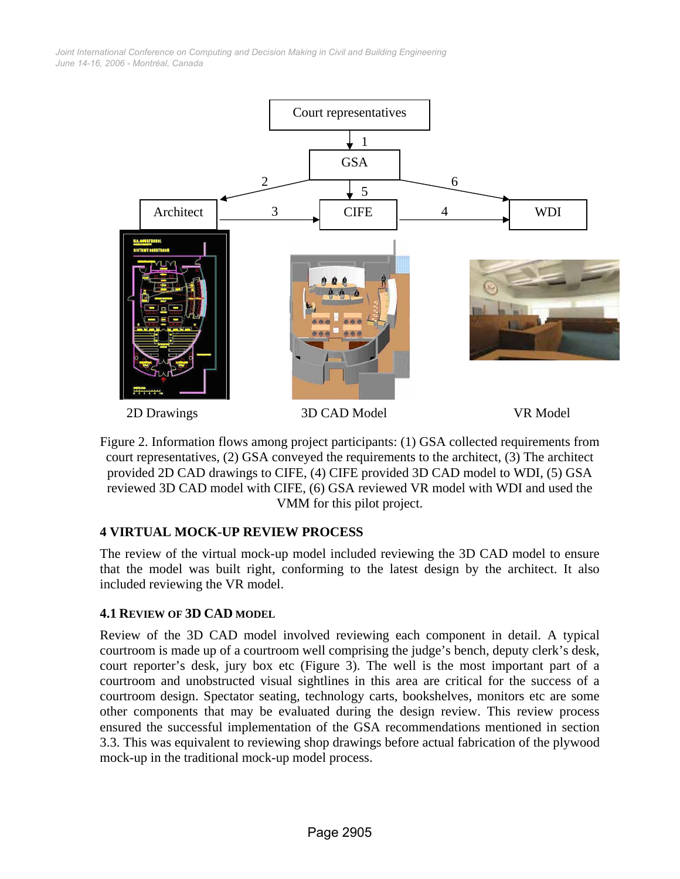*June 14-16, 2006 - Montréal, Canada Joint International Conference on Computing and Decision Making in Civil and Building Engineering*



Figure 2. Information flows among project participants: (1) GSA collected requirements from court representatives, (2) GSA conveyed the requirements to the architect, (3) The architect provided 2D CAD drawings to CIFE, (4) CIFE provided 3D CAD model to WDI, (5) GSA reviewed 3D CAD model with CIFE, (6) GSA reviewed VR model with WDI and used the VMM for this pilot project.

# **4 VIRTUAL MOCK-UP REVIEW PROCESS**

The review of the virtual mock-up model included reviewing the 3D CAD model to ensure that the model was built right, conforming to the latest design by the architect. It also included reviewing the VR model.

#### **4.1 REVIEW OF 3D CAD MODEL**

Review of the 3D CAD model involved reviewing each component in detail. A typical courtroom is made up of a courtroom well comprising the judge's bench, deputy clerk's desk, court reporter's desk, jury box etc (Figure 3). The well is the most important part of a courtroom and unobstructed visual sightlines in this area are critical for the success of a courtroom design. Spectator seating, technology carts, bookshelves, monitors etc are some other components that may be evaluated during the design review. This review process ensured the successful implementation of the GSA recommendations mentioned in section 3.3. This was equivalent to reviewing shop drawings before actual fabrication of the plywood mock-up in the traditional mock-up model process.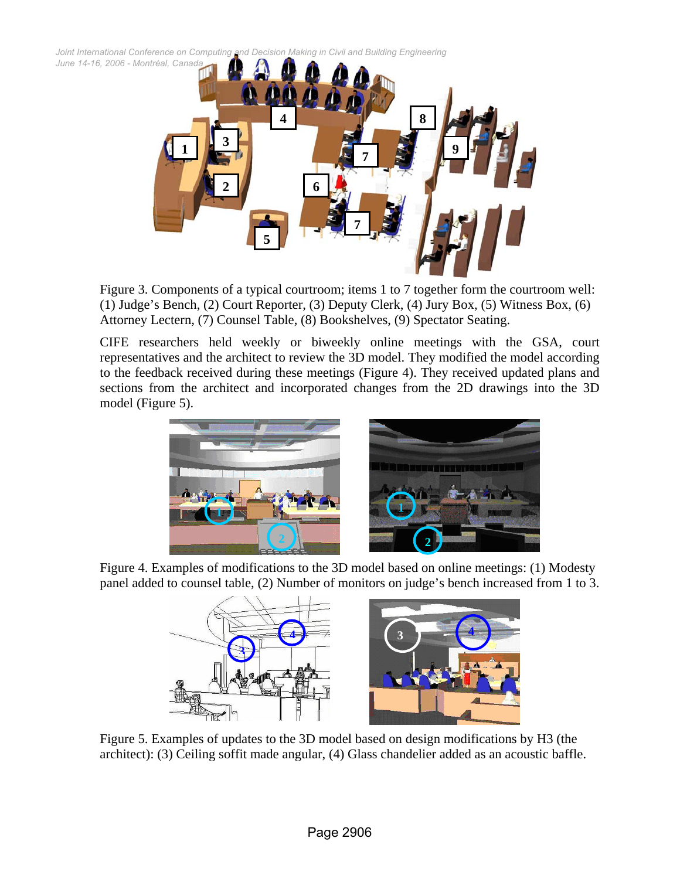*Joint International Conference on Computing and Decision Making in Civil and Building Engineering*



Figure 3. Components of a typical courtroom; items 1 to 7 together form the courtroom well: (1) Judge's Bench, (2) Court Reporter, (3) Deputy Clerk, (4) Jury Box, (5) Witness Box, (6) Attorney Lectern, (7) Counsel Table, (8) Bookshelves, (9) Spectator Seating.

CIFE researchers held weekly or biweekly online meetings with the GSA, court representatives and the architect to review the 3D model. They modified the model according to the feedback received during these meetings (Figure 4). They received updated plans and sections from the architect and incorporated changes from the 2D drawings into the 3D model (Figure 5).



Figure 4. Examples of modifications to the 3D model based on online meetings: (1) Modesty panel added to counsel table, (2) Number of monitors on judge's bench increased from 1 to 3.



Figure 5. Examples of updates to the 3D model based on design modifications by H3 (the architect): (3) Ceiling soffit made angular, (4) Glass chandelier added as an acoustic baffle.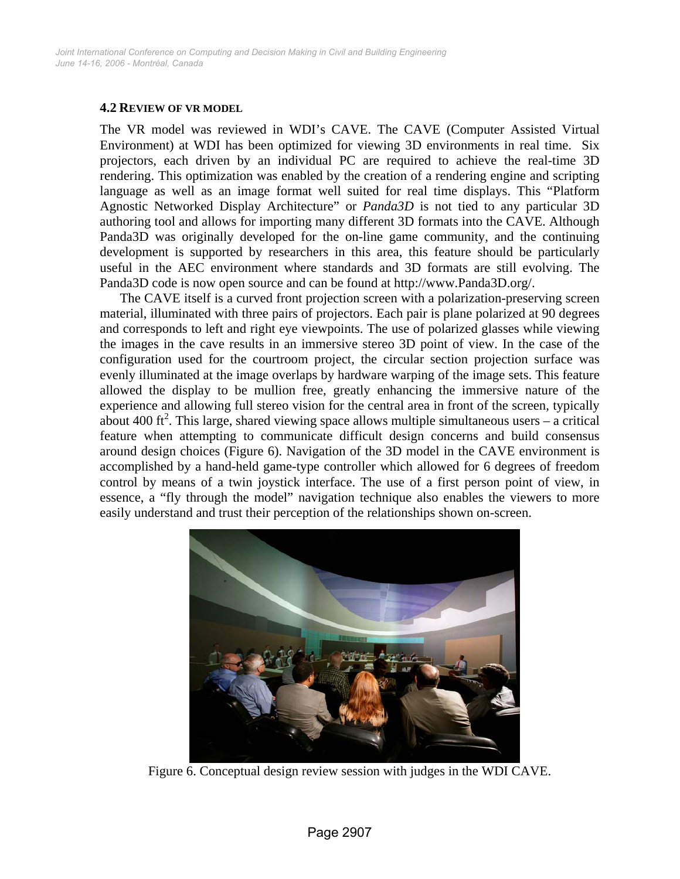#### **4.2 REVIEW OF VR MODEL**

The VR model was reviewed in WDI's CAVE. The CAVE (Computer Assisted Virtual Environment) at WDI has been optimized for viewing 3D environments in real time. Six projectors, each driven by an individual PC are required to achieve the real-time 3D rendering. This optimization was enabled by the creation of a rendering engine and scripting language as well as an image format well suited for real time displays. This "Platform Agnostic Networked Display Architecture" or *Panda3D* is not tied to any particular 3D authoring tool and allows for importing many different 3D formats into the CAVE. Although Panda3D was originally developed for the on-line game community, and the continuing development is supported by researchers in this area, this feature should be particularly useful in the AEC environment where standards and 3D formats are still evolving. The Panda3D code is now open source and can be found at http://www.Panda3D.org/.

The CAVE itself is a curved front projection screen with a polarization-preserving screen material, illuminated with three pairs of projectors. Each pair is plane polarized at 90 degrees and corresponds to left and right eye viewpoints. The use of polarized glasses while viewing the images in the cave results in an immersive stereo 3D point of view. In the case of the configuration used for the courtroom project, the circular section projection surface was evenly illuminated at the image overlaps by hardware warping of the image sets. This feature allowed the display to be mullion free, greatly enhancing the immersive nature of the experience and allowing full stereo vision for the central area in front of the screen, typically about 400 ft<sup>2</sup>. This large, shared viewing space allows multiple simultaneous users  $-$  a critical feature when attempting to communicate difficult design concerns and build consensus around design choices (Figure 6). Navigation of the 3D model in the CAVE environment is accomplished by a hand-held game-type controller which allowed for 6 degrees of freedom control by means of a twin joystick interface. The use of a first person point of view, in essence, a "fly through the model" navigation technique also enables the viewers to more easily understand and trust their perception of the relationships shown on-screen.



Figure 6. Conceptual design review session with judges in the WDI CAVE.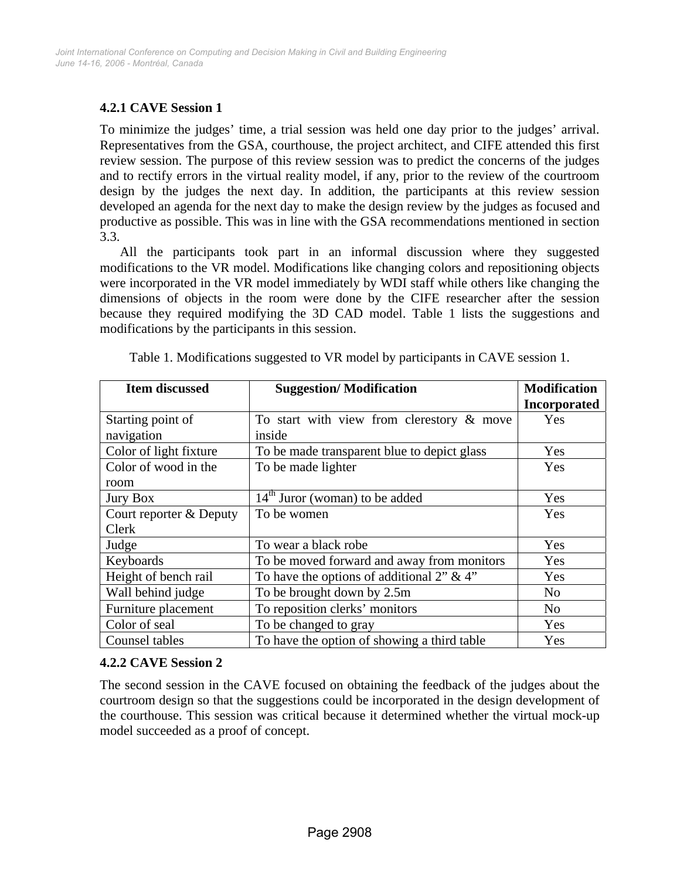### **4.2.1 CAVE Session 1**

To minimize the judges' time, a trial session was held one day prior to the judges' arrival. Representatives from the GSA, courthouse, the project architect, and CIFE attended this first review session. The purpose of this review session was to predict the concerns of the judges and to rectify errors in the virtual reality model, if any, prior to the review of the courtroom design by the judges the next day. In addition, the participants at this review session developed an agenda for the next day to make the design review by the judges as focused and productive as possible. This was in line with the GSA recommendations mentioned in section 3.3.

All the participants took part in an informal discussion where they suggested modifications to the VR model. Modifications like changing colors and repositioning objects were incorporated in the VR model immediately by WDI staff while others like changing the dimensions of objects in the room were done by the CIFE researcher after the session because they required modifying the 3D CAD model. Table 1 lists the suggestions and modifications by the participants in this session.

| <b>Item discussed</b>   | <b>Suggestion/Modification</b>              | <b>Modification</b> |
|-------------------------|---------------------------------------------|---------------------|
|                         |                                             | <b>Incorporated</b> |
| Starting point of       | To start with view from clerestory & move   | Yes                 |
| navigation              | inside                                      |                     |
| Color of light fixture  | To be made transparent blue to depict glass | Yes                 |
| Color of wood in the    | To be made lighter                          | Yes                 |
| room                    |                                             |                     |
| <b>Jury Box</b>         | $14th$ Juror (woman) to be added            | Yes                 |
| Court reporter & Deputy | To be women                                 | Yes                 |
| Clerk                   |                                             |                     |
| Judge                   | To wear a black robe                        | Yes                 |
| Keyboards               | To be moved forward and away from monitors  | Yes                 |
| Height of bench rail    | To have the options of additional 2" & 4"   | Yes                 |
| Wall behind judge       | To be brought down by 2.5m                  | N <sub>o</sub>      |
| Furniture placement     | To reposition clerks' monitors              | N <sub>o</sub>      |
| Color of seal           | To be changed to gray                       | Yes                 |
| Counsel tables          | To have the option of showing a third table | Yes                 |

Table 1. Modifications suggested to VR model by participants in CAVE session 1.

#### **4.2.2 CAVE Session 2**

The second session in the CAVE focused on obtaining the feedback of the judges about the courtroom design so that the suggestions could be incorporated in the design development of the courthouse. This session was critical because it determined whether the virtual mock-up model succeeded as a proof of concept.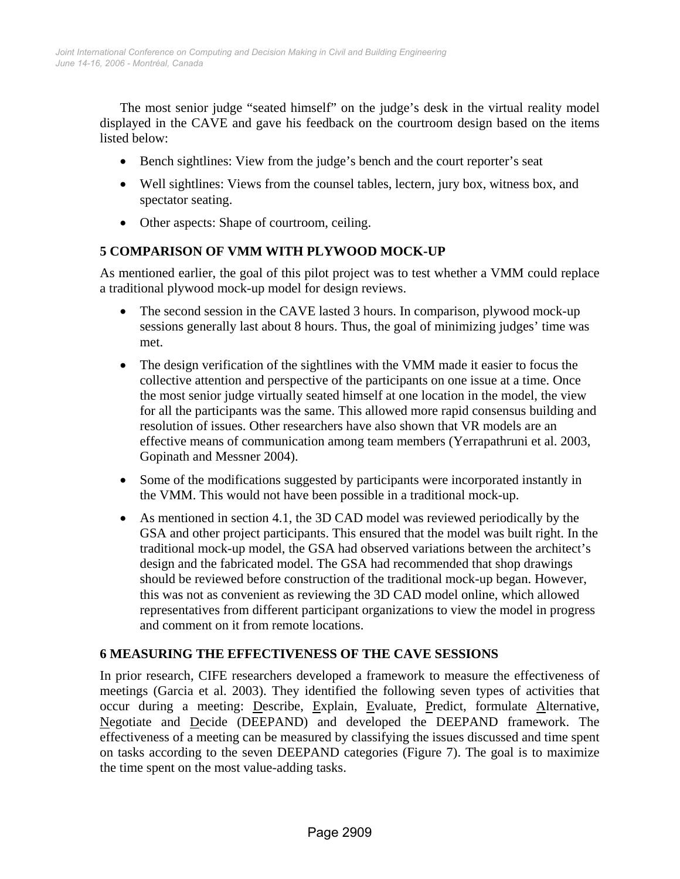The most senior judge "seated himself" on the judge's desk in the virtual reality model displayed in the CAVE and gave his feedback on the courtroom design based on the items listed below:

- Bench sightlines: View from the judge's bench and the court reporter's seat
- Well sightlines: Views from the counsel tables, lectern, jury box, witness box, and spectator seating.
- Other aspects: Shape of courtroom, ceiling.

# **5 COMPARISON OF VMM WITH PLYWOOD MOCK-UP**

As mentioned earlier, the goal of this pilot project was to test whether a VMM could replace a traditional plywood mock-up model for design reviews.

- The second session in the CAVE lasted 3 hours. In comparison, plywood mock-up sessions generally last about 8 hours. Thus, the goal of minimizing judges' time was met.
- The design verification of the sightlines with the VMM made it easier to focus the collective attention and perspective of the participants on one issue at a time. Once the most senior judge virtually seated himself at one location in the model, the view for all the participants was the same. This allowed more rapid consensus building and resolution of issues. Other researchers have also shown that VR models are an effective means of communication among team members (Yerrapathruni et al. 2003, Gopinath and Messner 2004).
- Some of the modifications suggested by participants were incorporated instantly in the VMM. This would not have been possible in a traditional mock-up.
- As mentioned in section 4.1, the 3D CAD model was reviewed periodically by the GSA and other project participants. This ensured that the model was built right. In the traditional mock-up model, the GSA had observed variations between the architect's design and the fabricated model. The GSA had recommended that shop drawings should be reviewed before construction of the traditional mock-up began. However, this was not as convenient as reviewing the 3D CAD model online, which allowed representatives from different participant organizations to view the model in progress and comment on it from remote locations.

# **6 MEASURING THE EFFECTIVENESS OF THE CAVE SESSIONS**

In prior research, CIFE researchers developed a framework to measure the effectiveness of meetings (Garcia et al. 2003). They identified the following seven types of activities that occur during a meeting: Describe, Explain, Evaluate, Predict, formulate Alternative, Negotiate and Decide (DEEPAND) and developed the DEEPAND framework. The effectiveness of a meeting can be measured by classifying the issues discussed and time spent on tasks according to the seven DEEPAND categories (Figure 7). The goal is to maximize the time spent on the most value-adding tasks.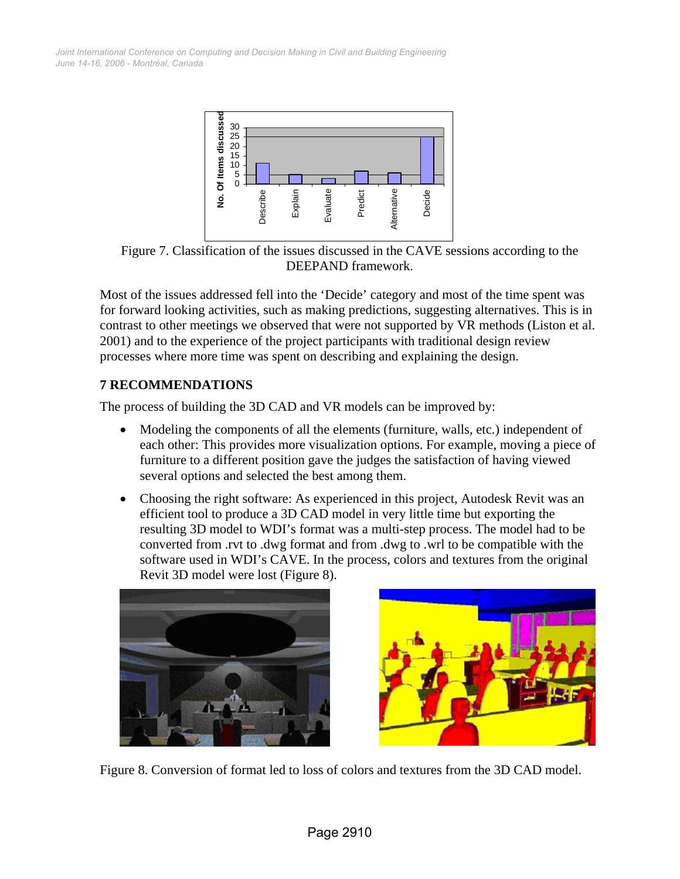*June 14-16, 2006 - Montréal, Canada Joint International Conference on Computing and Decision Making in Civil and Building Engineering*



Figure 7. Classification of the issues discussed in the CAVE sessions according to the DEEPAND framework.

Most of the issues addressed fell into the 'Decide' category and most of the time spent was for forward looking activities, such as making predictions, suggesting alternatives. This is in contrast to other meetings we observed that were not supported by VR methods (Liston et al. 2001) and to the experience of the project participants with traditional design review processes where more time was spent on describing and explaining the design.

## **7 RECOMMENDATIONS**

The process of building the 3D CAD and VR models can be improved by:

- Modeling the components of all the elements (furniture, walls, etc.) independent of each other: This provides more visualization options. For example, moving a piece of furniture to a different position gave the judges the satisfaction of having viewed several options and selected the best among them.
- Choosing the right software: As experienced in this project, Autodesk Revit was an efficient tool to produce a 3D CAD model in very little time but exporting the resulting 3D model to WDI's format was a multi-step process. The model had to be converted from .rvt to .dwg format and from .dwg to .wrl to be compatible with the software used in WDI's CAVE. In the process, colors and textures from the original Revit 3D model were lost (Figure 8).





Figure 8. Conversion of format led to loss of colors and textures from the 3D CAD model.